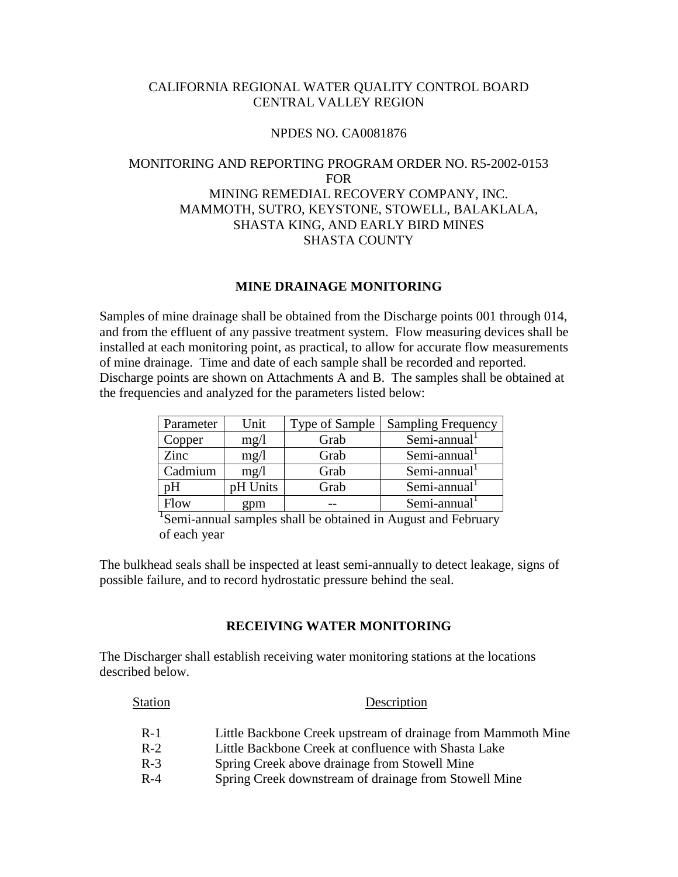## CALIFORNIA REGIONAL WATER QUALITY CONTROL BOARD CENTRAL VALLEY REGION

### NPDES NO. CA0081876

# MONITORING AND REPORTING PROGRAM ORDER NO. R5-2002-0153 FOR MINING REMEDIAL RECOVERY COMPANY, INC. MAMMOTH, SUTRO, KEYSTONE, STOWELL, BALAKLALA, SHASTA KING, AND EARLY BIRD MINES SHASTA COUNTY

## **MINE DRAINAGE MONITORING**

Samples of mine drainage shall be obtained from the Discharge points 001 through 014, and from the effluent of any passive treatment system. Flow measuring devices shall be installed at each monitoring point, as practical, to allow for accurate flow measurements of mine drainage. Time and date of each sample shall be recorded and reported. Discharge points are shown on Attachments A and B. The samples shall be obtained at the frequencies and analyzed for the parameters listed below:

| Parameter | Unit     | Type of Sample | <b>Sampling Frequency</b> |
|-----------|----------|----------------|---------------------------|
| Copper    | mg/l     | Grab           | $Semi-annual1$            |
| Zinc      | mg/1     | Grab           | Semi-annual               |
| Cadmium   | mg/1     | Grab           | $Semi-annual1$            |
| nн        | pH Units | Grab           | $Semi-annual1$            |
| low       | gpm      |                | Semi-annual               |

<sup>1</sup>Semi-annual samples shall be obtained in August and February of each year

The bulkhead seals shall be inspected at least semi-annually to detect leakage, signs of possible failure, and to record hydrostatic pressure behind the seal.

#### **RECEIVING WATER MONITORING**

The Discharger shall establish receiving water monitoring stations at the locations described below.

| Station | Description                                                  |  |  |  |
|---------|--------------------------------------------------------------|--|--|--|
| $R-1$   | Little Backbone Creek upstream of drainage from Mammoth Mine |  |  |  |
| $R-2$   | Little Backbone Creek at confluence with Shasta Lake         |  |  |  |
| $R-3$   | Spring Creek above drainage from Stowell Mine                |  |  |  |
| $R-4$   | Spring Creek downstream of drainage from Stowell Mine        |  |  |  |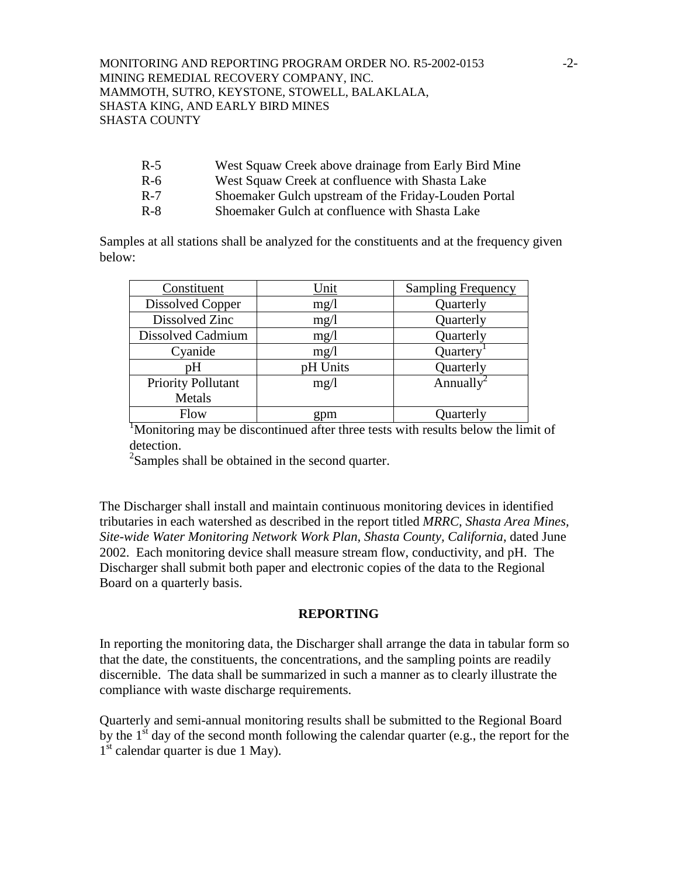### MONITORING AND REPORTING PROGRAM ORDER NO. R5-2002-0153 -2- MINING REMEDIAL RECOVERY COMPANY, INC. MAMMOTH, SUTRO, KEYSTONE, STOWELL, BALAKLALA, SHASTA KING, AND EARLY BIRD MINES SHASTA COUNTY

- R-5 West Squaw Creek above drainage from Early Bird Mine
- R-6 West Squaw Creek at confluence with Shasta Lake
- R-7 Shoemaker Gulch upstream of the Friday-Louden Portal
- R-8 Shoemaker Gulch at confluence with Shasta Lake

Samples at all stations shall be analyzed for the constituents and at the frequency given below:

| Constituent               | Unit     | Sampling Frequency                    |
|---------------------------|----------|---------------------------------------|
| <b>Dissolved Copper</b>   | mg/l     | Quarterly                             |
| Dissolved Zinc            | mg/l     | Quarterly                             |
| Dissolved Cadmium         | mg/1     | Quarterly                             |
| Cyanide                   | mg/1     | Quartery                              |
| pH                        | pH Units | Quarterly                             |
| <b>Priority Pollutant</b> | mg/1     | Annually <sup><math>\sim</math></sup> |
| Metals                    |          |                                       |
| Flow                      | gpm      | Quarterly                             |

<sup>1</sup>Monitoring may be discontinued after three tests with results below the limit of detection.

 $2$ Samples shall be obtained in the second quarter.

The Discharger shall install and maintain continuous monitoring devices in identified tributaries in each watershed as described in the report titled *MRRC, Shasta Area Mines, Site-wide Water Monitoring Network Work Plan, Shasta County, California*, dated June 2002. Each monitoring device shall measure stream flow, conductivity, and pH. The Discharger shall submit both paper and electronic copies of the data to the Regional Board on a quarterly basis.

## **REPORTING**

In reporting the monitoring data, the Discharger shall arrange the data in tabular form so that the date, the constituents, the concentrations, and the sampling points are readily discernible. The data shall be summarized in such a manner as to clearly illustrate the compliance with waste discharge requirements.

Quarterly and semi-annual monitoring results shall be submitted to the Regional Board by the  $1<sup>st</sup>$  day of the second month following the calendar quarter (e.g., the report for the  $1<sup>st</sup>$  calendar quarter is due 1 May).